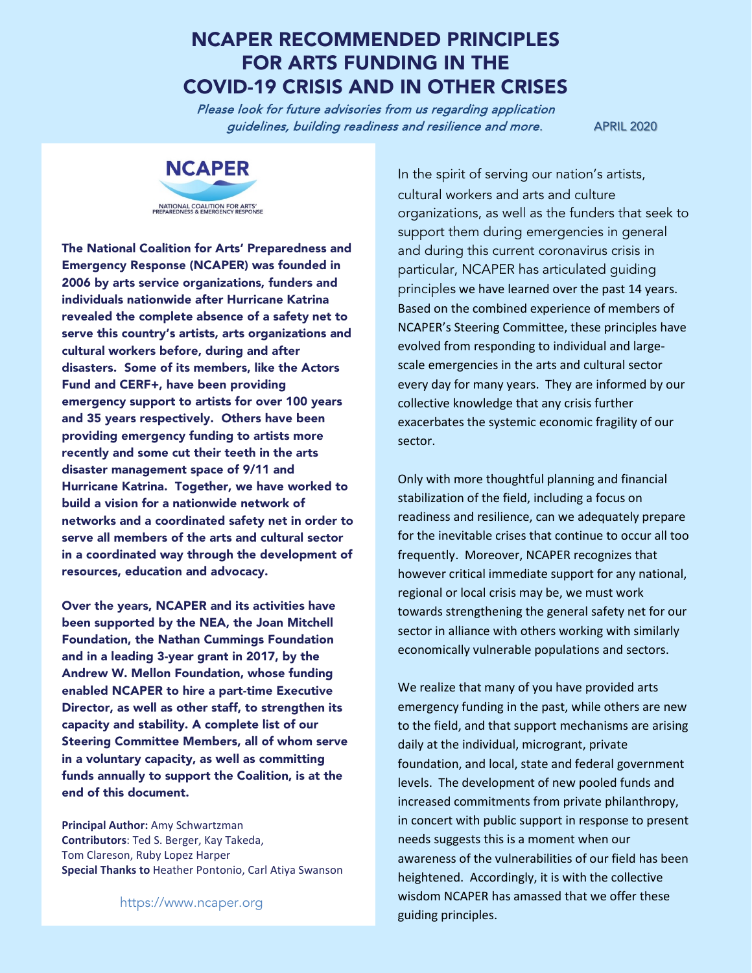### NCAPER RECOMMENDED PRINCIPLES FOR ARTS FUNDING IN THE COVID-19 CRISIS AND IN OTHER CRISES

Please look for future advisories from us regarding application guidelines, building readiness and resilience and more. APRIL 2020



The National Coalition for Arts' Preparedness and Emergency Response (NCAPER) was founded in 2006 by arts service organizations, funders and individuals nationwide after Hurricane Katrina revealed the complete absence of a safety net to serve this country's artists, arts organizations and cultural workers before, during and after disasters. Some of its members, like the Actors Fund and CERF+, have been providing emergency support to artists for over 100 years and 35 years respectively. Others have been providing emergency funding to artists more recently and some cut their teeth in the arts disaster management space of 9/11 and Hurricane Katrina. Together, we have worked to build a vision for a nationwide network of networks and a coordinated safety net in order to serve all members of the arts and cultural sector in a coordinated way through the development of resources, education and advocacy.

Over the years, NCAPER and its activities have been supported by the NEA, the Joan Mitchell Foundation, the Nathan Cummings Foundation and in a leading 3-year grant in 2017, by the Andrew W. Mellon Foundation, whose funding enabled NCAPER to hire a part-time Executive Director, as well as other staff, to strengthen its capacity and stability. A complete list of our Steering Committee Members, all of whom serve in a voluntary capacity, as well as committing funds annually to support the Coalition, is at the end of this document.

**Principal Author:** Amy Schwartzman **Contributors**: Ted S. Berger, Kay Takeda, Tom Clareson, Ruby Lopez Harper **Special Thanks to** Heather Pontonio, Carl Atiya Swanson

In the spirit of serving our nation's artists, cultural workers and arts and culture organizations, as well as the funders that seek to support them during emergencies in general and during this current coronavirus crisis in particular, NCAPER has articulated guiding principles we have learned over the past 14 years. Based on the combined experience of members of NCAPER's Steering Committee, these principles have evolved from responding to individual and largescale emergencies in the arts and cultural sector every day for many years. They are informed by our collective knowledge that any crisis further exacerbates the systemic economic fragility of our sector.

Only with more thoughtful planning and financial stabilization of the field, including a focus on readiness and resilience, can we adequately prepare for the inevitable crises that continue to occur all too frequently. Moreover, NCAPER recognizes that however critical immediate support for any national, regional or local crisis may be, we must work towards strengthening the general safety net for our sector in alliance with others working with similarly economically vulnerable populations and sectors.

We realize that many of you have provided arts emergency funding in the past, while others are new to the field, and that support mechanisms are arising daily at the individual, microgrant, private foundation, and local, state and federal government levels. The development of new pooled funds and increased commitments from private philanthropy, in concert with public support in response to present needs suggests this is a moment when our awareness of the vulnerabilities of our field has been heightened. Accordingly, it is with the collective wisdom NCAPER has amassed that we offer these https://www.ncaper.org<br>guiding principles.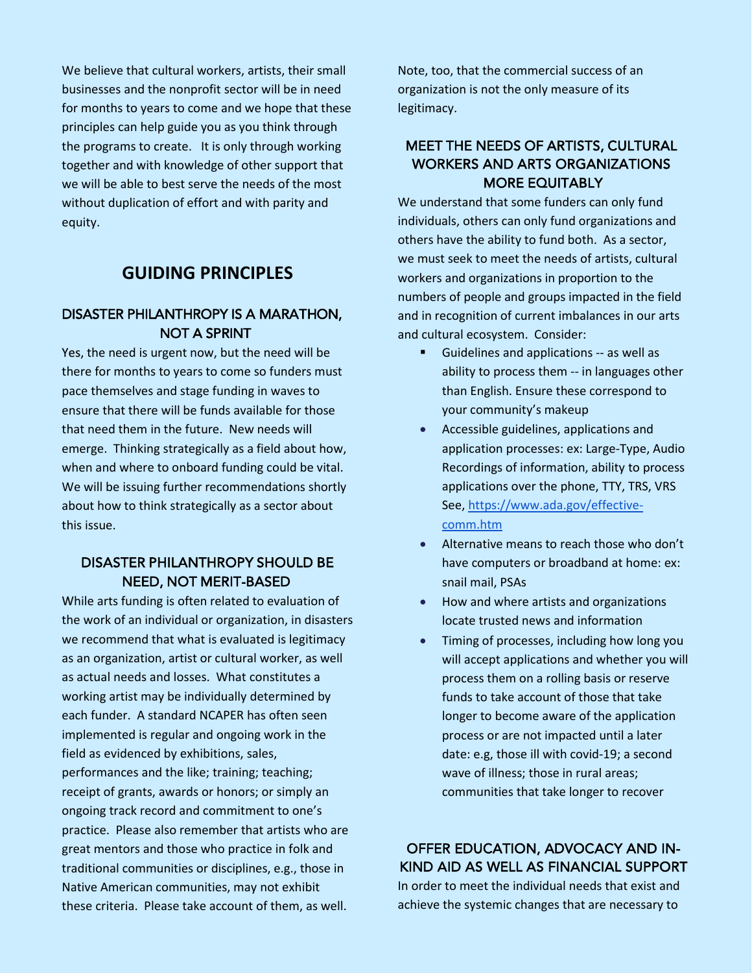We believe that cultural workers, artists, their small businesses and the nonprofit sector will be in need for months to years to come and we hope that these principles can help guide you as you think through the programs to create. It is only through working together and with knowledge of other support that we will be able to best serve the needs of the most without duplication of effort and with parity and equity.

#### **GUIDING PRINCIPLES**

#### DISASTER PHILANTHROPY IS A MARATHON, NOT A SPRINT

Yes, the need is urgent now, but the need will be there for months to years to come so funders must pace themselves and stage funding in waves to ensure that there will be funds available for those that need them in the future. New needs will emerge. Thinking strategically as a field about how, when and where to onboard funding could be vital. We will be issuing further recommendations shortly about how to think strategically as a sector about this issue.

#### DISASTER PHILANTHROPY SHOULD BE NEED, NOT MERIT-BASED

While arts funding is often related to evaluation of the work of an individual or organization, in disasters we recommend that what is evaluated is legitimacy as an organization, artist or cultural worker, as well as actual needs and losses. What constitutes a working artist may be individually determined by each funder. A standard NCAPER has often seen implemented is regular and ongoing work in the field as evidenced by exhibitions, sales, performances and the like; training; teaching; receipt of grants, awards or honors; or simply an ongoing track record and commitment to one's practice. Please also remember that artists who are great mentors and those who practice in folk and traditional communities or disciplines, e.g., those in Native American communities, may not exhibit these criteria. Please take account of them, as well.

Note, too, that the commercial success of an organization is not the only measure of its legitimacy.

#### MEET THE NEEDS OF ARTISTS, CULTURAL WORKERS AND ARTS ORGANIZATIONS MORE EQUITABLY

We understand that some funders can only fund individuals, others can only fund organizations and others have the ability to fund both. As a sector, we must seek to meet the needs of artists, cultural workers and organizations in proportion to the numbers of people and groups impacted in the field and in recognition of current imbalances in our arts and cultural ecosystem. Consider:

- Guidelines and applications -- as well as ability to process them -- in languages other than English. Ensure these correspond to your community's makeup
- Accessible guidelines, applications and application processes: ex: Large-Type, Audio Recordings of information, ability to process applications over the phone, TTY, TRS, VRS See, [https://www.ada.gov/effective](about:blank)[comm.htm](about:blank)
- Alternative means to reach those who don't have computers or broadband at home: ex: snail mail, PSAs
- How and where artists and organizations locate trusted news and information
- Timing of processes, including how long you will accept applications and whether you will process them on a rolling basis or reserve funds to take account of those that take longer to become aware of the application process or are not impacted until a later date: e.g, those ill with covid-19; a second wave of illness; those in rural areas; communities that take longer to recover

#### OFFER EDUCATION, ADVOCACY AND IN-KIND AID AS WELL AS FINANCIAL SUPPORT

In order to meet the individual needs that exist and achieve the systemic changes that are necessary to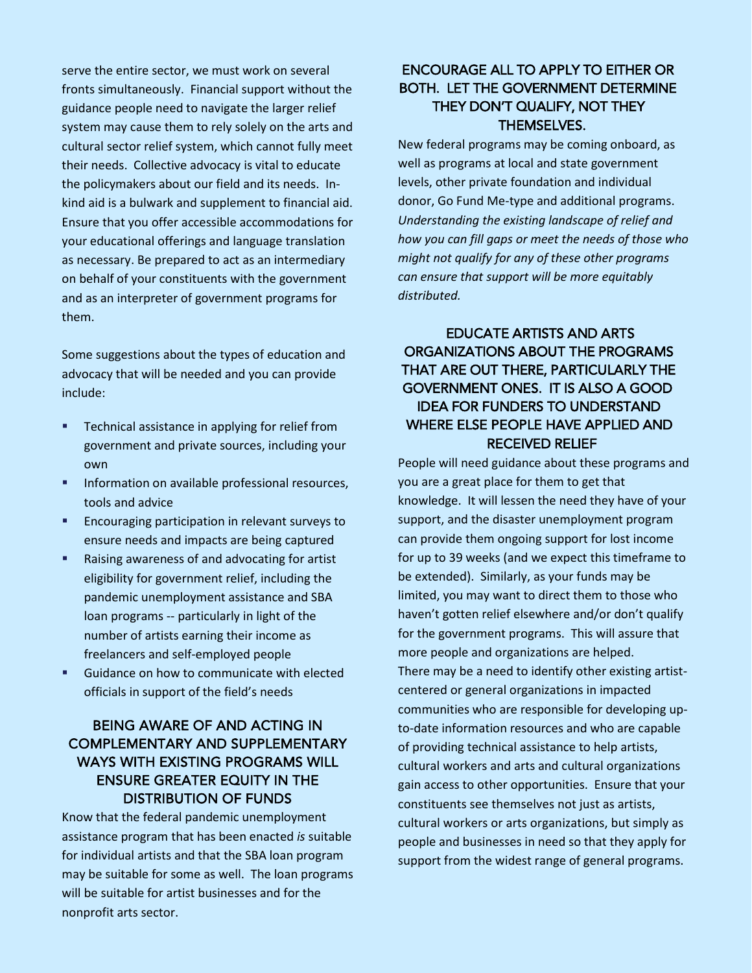serve the entire sector, we must work on several fronts simultaneously. Financial support without the guidance people need to navigate the larger relief system may cause them to rely solely on the arts and cultural sector relief system, which cannot fully meet their needs. Collective advocacy is vital to educate the policymakers about our field and its needs. Inkind aid is a bulwark and supplement to financial aid. Ensure that you offer accessible accommodations for your educational offerings and language translation as necessary. Be prepared to act as an intermediary on behalf of your constituents with the government and as an interpreter of government programs for them.

Some suggestions about the types of education and advocacy that will be needed and you can provide include:

- **Technical assistance in applying for relief from** government and private sources, including your own
- **Information on available professional resources,** tools and advice
- **Encouraging participation in relevant surveys to** ensure needs and impacts are being captured
- Raising awareness of and advocating for artist eligibility for government relief, including the pandemic unemployment assistance and SBA loan programs -- particularly in light of the number of artists earning their income as freelancers and self-employed people
- Guidance on how to communicate with elected officials in support of the field's needs

#### BEING AWARE OF AND ACTING IN COMPLEMENTARY AND SUPPLEMENTARY WAYS WITH EXISTING PROGRAMS WILL ENSURE GREATER EQUITY IN THE DISTRIBUTION OF FUNDS

Know that the federal pandemic unemployment assistance program that has been enacted *is* suitable for individual artists and that the SBA loan program may be suitable for some as well. The loan programs will be suitable for artist businesses and for the nonprofit arts sector.

#### ENCOURAGE ALL TO APPLY TO EITHER OR BOTH. LET THE GOVERNMENT DETERMINE THEY DON'T QUALIFY, NOT THEY THEMSELVES.

New federal programs may be coming onboard, as well as programs at local and state government levels, other private foundation and individual donor, Go Fund Me-type and additional programs. *Understanding the existing landscape of relief and how you can fill gaps or meet the needs of those who might not qualify for any of these other programs can ensure that support will be more equitably distributed.*

#### EDUCATE ARTISTS AND ARTS ORGANIZATIONS ABOUT THE PROGRAMS THAT ARE OUT THERE, PARTICULARLY THE GOVERNMENT ONES. IT IS ALSO A GOOD IDEA FOR FUNDERS TO UNDERSTAND WHERE ELSE PEOPLE HAVE APPLIED AND RECEIVED RELIEF

People will need guidance about these programs and you are a great place for them to get that knowledge. It will lessen the need they have of your support, and the disaster unemployment program can provide them ongoing support for lost income for up to 39 weeks (and we expect this timeframe to be extended). Similarly, as your funds may be limited, you may want to direct them to those who haven't gotten relief elsewhere and/or don't qualify for the government programs. This will assure that more people and organizations are helped. There may be a need to identify other existing artistcentered or general organizations in impacted communities who are responsible for developing upto-date information resources and who are capable of providing technical assistance to help artists, cultural workers and arts and cultural organizations gain access to other opportunities. Ensure that your constituents see themselves not just as artists, cultural workers or arts organizations, but simply as people and businesses in need so that they apply for support from the widest range of general programs.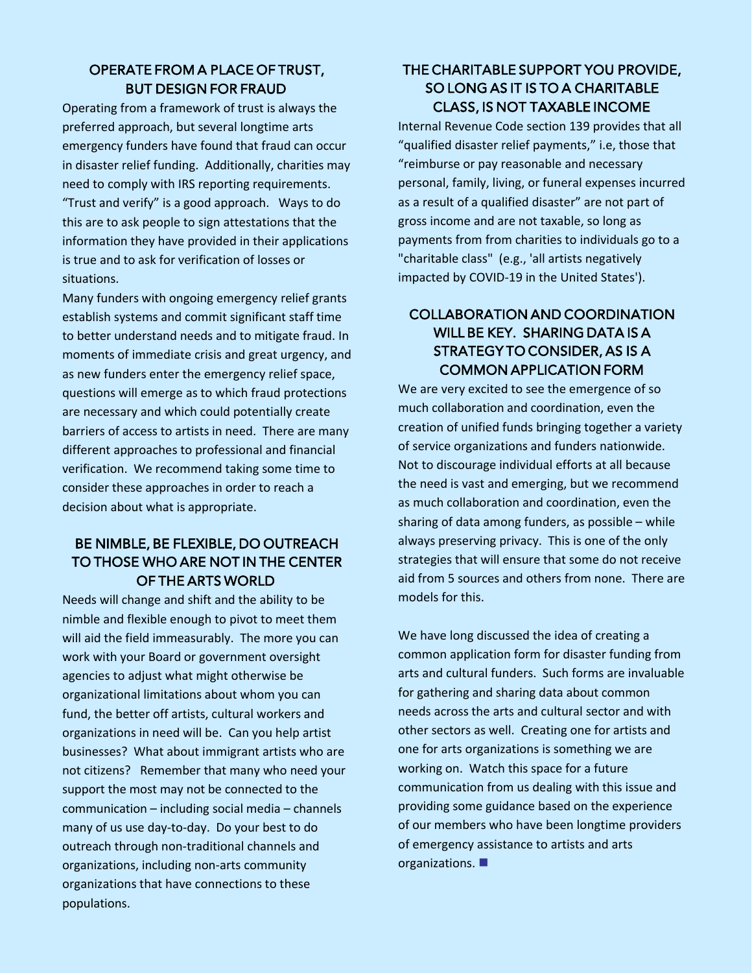#### OPERATE FROM A PLACE OF TRUST, BUT DESIGN FOR FRAUD

Operating from a framework of trust is always the preferred approach, but several longtime arts emergency funders have found that fraud can occur in disaster relief funding. Additionally, charities may need to comply with IRS reporting requirements. "Trust and verify" is a good approach. Ways to do this are to ask people to sign attestations that the information they have provided in their applications is true and to ask for verification of losses or situations.

Many funders with ongoing emergency relief grants establish systems and commit significant staff time to better understand needs and to mitigate fraud. In moments of immediate crisis and great urgency, and as new funders enter the emergency relief space, questions will emerge as to which fraud protections are necessary and which could potentially create barriers of access to artists in need. There are many different approaches to professional and financial verification. We recommend taking some time to consider these approaches in order to reach a decision about what is appropriate.

#### BE NIMBLE, BE FLEXIBLE, DO OUTREACH TO THOSE WHO ARE NOT IN THE CENTER OF THE ARTS WORLD

Needs will change and shift and the ability to be nimble and flexible enough to pivot to meet them will aid the field immeasurably. The more you can work with your Board or government oversight agencies to adjust what might otherwise be organizational limitations about whom you can fund, the better off artists, cultural workers and organizations in need will be. Can you help artist businesses? What about immigrant artists who are not citizens? Remember that many who need your support the most may not be connected to the communication – including social media – channels many of us use day-to-day. Do your best to do outreach through non-traditional channels and organizations, including non-arts community organizations that have connections to these populations.

#### THE CHARITABLE SUPPORT YOU PROVIDE, SO LONG AS IT IS TO A CHARITABLE CLASS, IS NOT TAXABLE INCOME

Internal Revenue Code section 139 provides that all "qualified disaster relief payments," i.e, those that "reimburse or pay reasonable and necessary personal, family, living, or funeral expenses incurred as a result of a qualified disaster" are not part of gross income and are not taxable, so long as payments from from charities to individuals go to a "charitable class" (e.g., 'all artists negatively impacted by COVID-19 in the United States').

#### COLLABORATION AND COORDINATION WILL BE KEY. SHARING DATA IS A STRATEGY TO CONSIDER, AS IS A COMMON APPLICATION FORM

We are very excited to see the emergence of so much collaboration and coordination, even the creation of unified funds bringing together a variety of service organizations and funders nationwide. Not to discourage individual efforts at all because the need is vast and emerging, but we recommend as much collaboration and coordination, even the sharing of data among funders, as possible – while always preserving privacy. This is one of the only strategies that will ensure that some do not receive aid from 5 sources and others from none. There are models for this.

We have long discussed the idea of creating a common application form for disaster funding from arts and cultural funders. Such forms are invaluable for gathering and sharing data about common needs across the arts and cultural sector and with other sectors as well. Creating one for artists and one for arts organizations is something we are working on. Watch this space for a future communication from us dealing with this issue and providing some guidance based on the experience of our members who have been longtime providers of emergency assistance to artists and arts organizations.